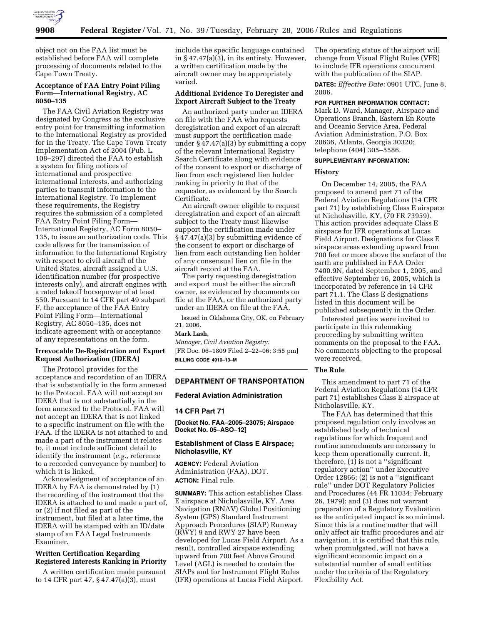

object not on the FAA list must be established before FAA will complete processing of documents related to the Cape Town Treaty.

# **Acceptance of FAA Entry Point Filing Form—International Registry, AC 8050–135**

The FAA Civil Aviation Registry was designated by Congress as the exclusive entry point for transmitting information to the International Registry as provided for in the Treaty. The Cape Town Treaty Implementation Act of 2004 (Pub. L. 108–297) directed the FAA to establish a system for filing notices of international and prospective international interests, and authorizing parties to transmit information to the International Registry. To implement these requirements, the Registry requires the submission of a completed FAA Entry Point Filing Form— International Registry, AC Form 8050– 135, to issue an authorization code. This code allows for the transmission of information to the International Registry with respect to civil aircraft of the United States, aircraft assigned a U.S. identification number (for prospective interests only), and aircraft engines with a rated takeoff horsepower of at least 550. Pursuant to 14 CFR part 49 subpart F, the acceptance of the FAA Entry Point Filing Form—International Registry, AC 8050–135, does not indicate agreement with or acceptance of any representations on the form.

# **Irrevocable De-Registration and Export Request Authorization (IDERA)**

The Protocol provides for the acceptance and recordation of an IDERA that is substantially in the form annexed to the Protocol. FAA will not accept an IDERA that is not substantially in the form annexed to the Protocol. FAA will not accept an IDERA that is not linked to a specific instrument on file with the FAA. If the IDERA is not attached to and made a part of the instrument it relates to, it must include sufficient detail to identify the instrument (*e.g.,* reference to a recorded conveyance by number) to which it is linked.

Acknowledgment of acceptance of an IDERA by FAA is demonstrated by (1) the recording of the instrument that the IDERA is attached to and made a part of, or (2) if not filed as part of the instrument, but filed at a later time, the IDERA will be stamped with an ID/date stamp of an FAA Legal Instruments Examiner.

# **Written Certification Regarding Registered Interests Ranking in Priority**

A written certification made pursuant to 14 CFR part 47, § 47.47(a)(3), must

include the specific language contained in  $§$  47.47(a)(3), in its entirety. However, a written certification made by the aircraft owner may be appropriately varied.

# **Additional Evidence To Deregister and Export Aircraft Subject to the Treaty**

An authorized party under an IDERA on file with the FAA who requests deregistration and export of an aircraft must support the certification made under  $\S 47.47(a)(3)$  by submitting a copy of the relevant International Registry Search Certificate along with evidence of the consent to export or discharge of lien from each registered lien holder ranking in priority to that of the requester, as evidenced by the Search Certificate.

An aircraft owner eligible to request deregistration and export of an aircraft subject to the Treaty must likewise support the certification made under § 47.47(a)(3) by submitting evidence of the consent to export or discharge of lien from each outstanding lien holder of any consensual lien on file in the aircraft record at the FAA.

The party requesting deregistration and export must be either the aircraft owner, as evidenced by documents on file at the FAA, or the authorized party under an IDERA on file at the FAA.

Issued in Oklahoma City, OK, on February 21, 2006. **Mark Lash,** 

*Manager, Civil Aviation Registry.*  [FR Doc. 06–1809 Filed 2–22–06; 3:55 pm] **BILLING CODE 4910–13–M** 

# **DEPARTMENT OF TRANSPORTATION**

## **Federal Aviation Administration**

## **14 CFR Part 71**

**[Docket No. FAA–2005–23075; Airspace Docket No. 05–ASO–12]** 

## **Establishment of Class E Airspace; Nicholasville, KY**

**AGENCY:** Federal Aviation Administration (FAA), DOT. **ACTION:** Final rule.

**SUMMARY:** This action establishes Class E airspace at Nicholasville, KY. Area Navigation (RNAV) Global Positioning System (GPS) Standard Instrument Approach Procedures (SIAP) Runway (RWY) 9 and RWY 27 have been developed for Lucas Field Airport. As a result, controlled airspace extending upward from 700 feet Above Ground Level (AGL) is needed to contain the SIAPs and for Instrument Flight Rules (IFR) operations at Lucas Field Airport.

The operating status of the airport will change from Visual Flight Rules (VFR) to include IFR operations concurrent with the publication of the SIAP.

**DATES:** *Effective Date:* 0901 UTC, June 8, 2006.

#### **FOR FURTHER INFORMATION CONTACT:**

Mark D. Ward, Manager, Airspace and Operations Branch, Eastern En Route and Oceanic Service Area, Federal Aviation Administration, P.O. Box 20636, Atlanta, Georgia 30320; telephone (404) 305–5586.

# **SUPPLEMENTARY INFORMATION:**

### **History**

On December 14, 2005, the FAA proposed to amend part 71 of the Federal Aviation Regulations (14 CFR part 71) by establishing Class E airspace at Nicholasville, KY, (70 FR 73959). This action provides adequate Class E airspace for IFR operations at Lucas Field Airport. Designations for Class E airspace areas extending upward from 700 feet or more above the surface of the earth are published in FAA Order 7400.9N, dated September 1, 2005, and effective September 16, 2005, which is incorporated by reference in 14 CFR part 71.1. The Class E designations listed in this document will be published subsequently in the Order.

Interested parties were invited to participate in this rulemaking proceeding by submitting written comments on the proposal to the FAA. No comments objecting to the proposal were received.

#### **The Rule**

This amendment to part 71 of the Federal Aviation Regulations (14 CFR part 71) establishes Class E airspace at Nicholasville, KY.

The FAA has determined that this proposed regulation only involves an established body of technical regulations for which frequent and routine amendments are necessary to keep them operationally current. It, therefore, (1) is not a ''significant regulatory action'' under Executive Order 12866; (2) is not a ''significant rule'' under DOT Regulatory Policies and Procedures (44 FR 11034; February 26, 1979); and (3) does not warrant preparation of a Regulatory Evaluation as the anticipated impact is so minimal. Since this is a routine matter that will only affect air traffic procedures and air navigation, it is certified that this rule, when promulgated, will not have a significant economic impact on a substantial number of small entities under the criteria of the Regulatory Flexibility Act.